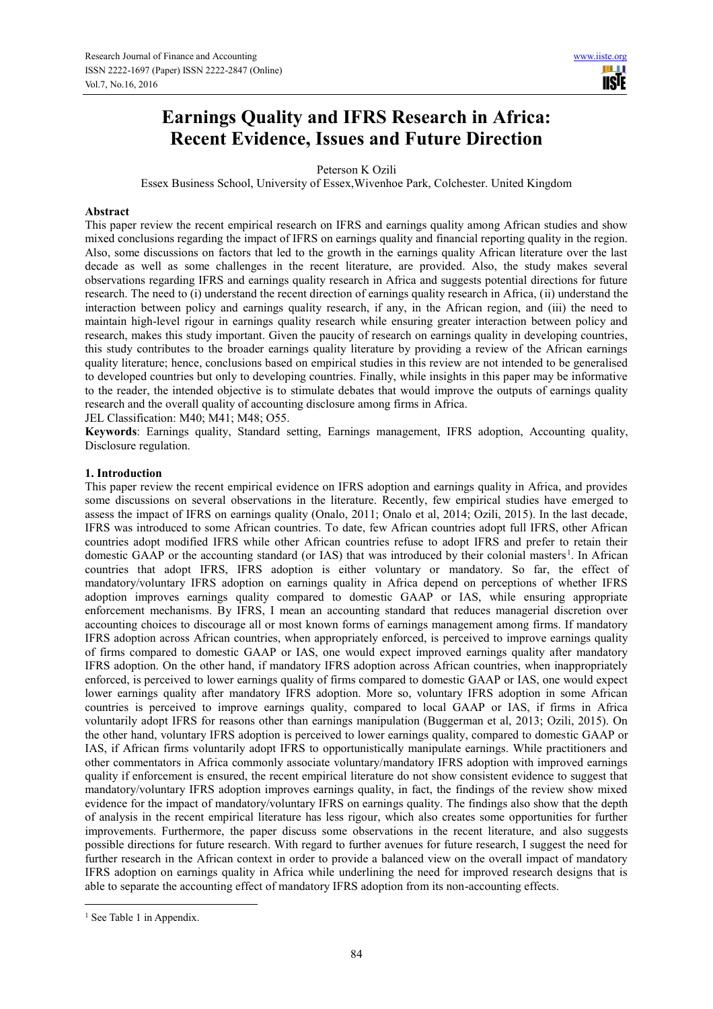# **Earnings Quality and IFRS Research in Africa: Recent Evidence, Issues and Future Direction**

Peterson K Ozili

Essex Business School, University of Essex,Wivenhoe Park, Colchester. United Kingdom

### **Abstract**

This paper review the recent empirical research on IFRS and earnings quality among African studies and show mixed conclusions regarding the impact of IFRS on earnings quality and financial reporting quality in the region. Also, some discussions on factors that led to the growth in the earnings quality African literature over the last decade as well as some challenges in the recent literature, are provided. Also, the study makes several observations regarding IFRS and earnings quality research in Africa and suggests potential directions for future research. The need to (i) understand the recent direction of earnings quality research in Africa, (ii) understand the interaction between policy and earnings quality research, if any, in the African region, and (iii) the need to maintain high-level rigour in earnings quality research while ensuring greater interaction between policy and research, makes this study important. Given the paucity of research on earnings quality in developing countries, this study contributes to the broader earnings quality literature by providing a review of the African earnings quality literature; hence, conclusions based on empirical studies in this review are not intended to be generalised to developed countries but only to developing countries. Finally, while insights in this paper may be informative to the reader, the intended objective is to stimulate debates that would improve the outputs of earnings quality research and the overall quality of accounting disclosure among firms in Africa.

JEL Classification: M40; M41; M48; O55.

**Keywords**: Earnings quality, Standard setting, Earnings management, IFRS adoption, Accounting quality, Disclosure regulation.

# **1. Introduction**

This paper review the recent empirical evidence on IFRS adoption and earnings quality in Africa, and provides some discussions on several observations in the literature. Recently, few empirical studies have emerged to assess the impact of IFRS on earnings quality (Onalo, 2011; Onalo et al, 2014; Ozili, 2015). In the last decade, IFRS was introduced to some African countries. To date, few African countries adopt full IFRS, other African countries adopt modified IFRS while other African countries refuse to adopt IFRS and prefer to retain their domestic GAAP or the accounting standard (or IAS) that was introduced by their colonial masters<sup>1</sup>. In African countries that adopt IFRS, IFRS adoption is either voluntary or mandatory. So far, the effect of mandatory/voluntary IFRS adoption on earnings quality in Africa depend on perceptions of whether IFRS adoption improves earnings quality compared to domestic GAAP or IAS, while ensuring appropriate enforcement mechanisms. By IFRS, I mean an accounting standard that reduces managerial discretion over accounting choices to discourage all or most known forms of earnings management among firms. If mandatory IFRS adoption across African countries, when appropriately enforced, is perceived to improve earnings quality of firms compared to domestic GAAP or IAS, one would expect improved earnings quality after mandatory IFRS adoption. On the other hand, if mandatory IFRS adoption across African countries, when inappropriately enforced, is perceived to lower earnings quality of firms compared to domestic GAAP or IAS, one would expect lower earnings quality after mandatory IFRS adoption. More so, voluntary IFRS adoption in some African countries is perceived to improve earnings quality, compared to local GAAP or IAS, if firms in Africa voluntarily adopt IFRS for reasons other than earnings manipulation (Buggerman et al, 2013; Ozili, 2015). On the other hand, voluntary IFRS adoption is perceived to lower earnings quality, compared to domestic GAAP or IAS, if African firms voluntarily adopt IFRS to opportunistically manipulate earnings. While practitioners and other commentators in Africa commonly associate voluntary/mandatory IFRS adoption with improved earnings quality if enforcement is ensured, the recent empirical literature do not show consistent evidence to suggest that mandatory/voluntary IFRS adoption improves earnings quality, in fact, the findings of the review show mixed evidence for the impact of mandatory/voluntary IFRS on earnings quality. The findings also show that the depth of analysis in the recent empirical literature has less rigour, which also creates some opportunities for further improvements. Furthermore, the paper discuss some observations in the recent literature, and also suggests possible directions for future research. With regard to further avenues for future research, I suggest the need for further research in the African context in order to provide a balanced view on the overall impact of mandatory IFRS adoption on earnings quality in Africa while underlining the need for improved research designs that is able to separate the accounting effect of mandatory IFRS adoption from its non-accounting effects.

 $\overline{a}$ <sup>1</sup> See Table 1 in Appendix.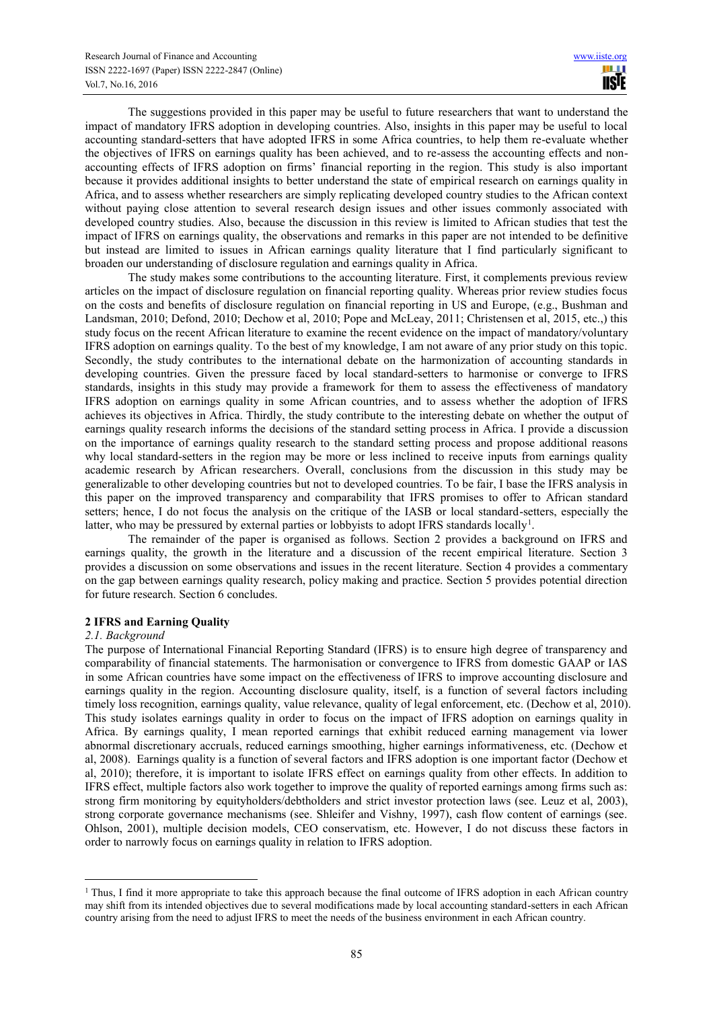The suggestions provided in this paper may be useful to future researchers that want to understand the impact of mandatory IFRS adoption in developing countries. Also, insights in this paper may be useful to local accounting standard-setters that have adopted IFRS in some Africa countries, to help them re-evaluate whether the objectives of IFRS on earnings quality has been achieved, and to re-assess the accounting effects and nonaccounting effects of IFRS adoption on firms' financial reporting in the region. This study is also important because it provides additional insights to better understand the state of empirical research on earnings quality in Africa, and to assess whether researchers are simply replicating developed country studies to the African context without paying close attention to several research design issues and other issues commonly associated with developed country studies. Also, because the discussion in this review is limited to African studies that test the impact of IFRS on earnings quality, the observations and remarks in this paper are not intended to be definitive but instead are limited to issues in African earnings quality literature that I find particularly significant to broaden our understanding of disclosure regulation and earnings quality in Africa.

The study makes some contributions to the accounting literature. First, it complements previous review articles on the impact of disclosure regulation on financial reporting quality. Whereas prior review studies focus on the costs and benefits of disclosure regulation on financial reporting in US and Europe, (e.g., Bushman and Landsman, 2010; Defond, 2010; Dechow et al, 2010; Pope and McLeay, 2011; Christensen et al, 2015, etc.,) this study focus on the recent African literature to examine the recent evidence on the impact of mandatory/voluntary IFRS adoption on earnings quality. To the best of my knowledge, I am not aware of any prior study on this topic. Secondly, the study contributes to the international debate on the harmonization of accounting standards in developing countries. Given the pressure faced by local standard-setters to harmonise or converge to IFRS standards, insights in this study may provide a framework for them to assess the effectiveness of mandatory IFRS adoption on earnings quality in some African countries, and to assess whether the adoption of IFRS achieves its objectives in Africa. Thirdly, the study contribute to the interesting debate on whether the output of earnings quality research informs the decisions of the standard setting process in Africa. I provide a discussion on the importance of earnings quality research to the standard setting process and propose additional reasons why local standard-setters in the region may be more or less inclined to receive inputs from earnings quality academic research by African researchers. Overall, conclusions from the discussion in this study may be generalizable to other developing countries but not to developed countries. To be fair, I base the IFRS analysis in this paper on the improved transparency and comparability that IFRS promises to offer to African standard setters; hence, I do not focus the analysis on the critique of the IASB or local standard-setters, especially the latter, who may be pressured by external parties or lobbyists to adopt IFRS standards locally<sup>1</sup>.

The remainder of the paper is organised as follows. Section 2 provides a background on IFRS and earnings quality, the growth in the literature and a discussion of the recent empirical literature. Section 3 provides a discussion on some observations and issues in the recent literature. Section 4 provides a commentary on the gap between earnings quality research, policy making and practice. Section 5 provides potential direction for future research. Section 6 concludes.

# **2 IFRS and Earning Quality**

#### *2.1. Background*

 $\overline{a}$ 

The purpose of International Financial Reporting Standard (IFRS) is to ensure high degree of transparency and comparability of financial statements. The harmonisation or convergence to IFRS from domestic GAAP or IAS in some African countries have some impact on the effectiveness of IFRS to improve accounting disclosure and earnings quality in the region. Accounting disclosure quality, itself, is a function of several factors including timely loss recognition, earnings quality, value relevance, quality of legal enforcement, etc. (Dechow et al, 2010). This study isolates earnings quality in order to focus on the impact of IFRS adoption on earnings quality in Africa. By earnings quality, I mean reported earnings that exhibit reduced earning management via lower abnormal discretionary accruals, reduced earnings smoothing, higher earnings informativeness, etc. (Dechow et al, 2008). Earnings quality is a function of several factors and IFRS adoption is one important factor (Dechow et al, 2010); therefore, it is important to isolate IFRS effect on earnings quality from other effects. In addition to IFRS effect, multiple factors also work together to improve the quality of reported earnings among firms such as: strong firm monitoring by equityholders/debtholders and strict investor protection laws (see. Leuz et al, 2003), strong corporate governance mechanisms (see. Shleifer and Vishny, 1997), cash flow content of earnings (see. Ohlson, 2001), multiple decision models, CEO conservatism, etc. However, I do not discuss these factors in order to narrowly focus on earnings quality in relation to IFRS adoption.

<sup>&</sup>lt;sup>1</sup> Thus, I find it more appropriate to take this approach because the final outcome of IFRS adoption in each African country may shift from its intended objectives due to several modifications made by local accounting standard-setters in each African country arising from the need to adjust IFRS to meet the needs of the business environment in each African country.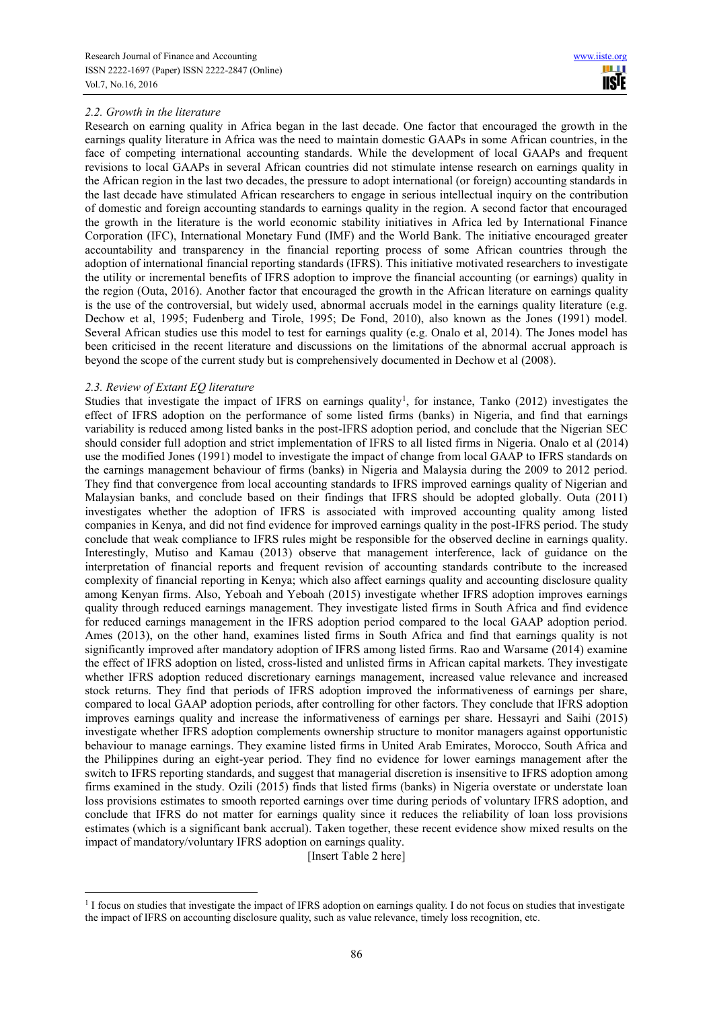# *2.2. Growth in the literature*

Research on earning quality in Africa began in the last decade. One factor that encouraged the growth in the earnings quality literature in Africa was the need to maintain domestic GAAPs in some African countries, in the face of competing international accounting standards. While the development of local GAAPs and frequent revisions to local GAAPs in several African countries did not stimulate intense research on earnings quality in the African region in the last two decades, the pressure to adopt international (or foreign) accounting standards in the last decade have stimulated African researchers to engage in serious intellectual inquiry on the contribution of domestic and foreign accounting standards to earnings quality in the region. A second factor that encouraged the growth in the literature is the world economic stability initiatives in Africa led by International Finance Corporation (IFC), International Monetary Fund (IMF) and the World Bank. The initiative encouraged greater accountability and transparency in the financial reporting process of some African countries through the adoption of international financial reporting standards (IFRS). This initiative motivated researchers to investigate the utility or incremental benefits of IFRS adoption to improve the financial accounting (or earnings) quality in the region (Outa, 2016). Another factor that encouraged the growth in the African literature on earnings quality is the use of the controversial, but widely used, abnormal accruals model in the earnings quality literature (e.g. Dechow et al, 1995; Fudenberg and Tirole, 1995; De Fond, 2010), also known as the Jones (1991) model. Several African studies use this model to test for earnings quality (e.g. Onalo et al, 2014). The Jones model has been criticised in the recent literature and discussions on the limitations of the abnormal accrual approach is beyond the scope of the current study but is comprehensively documented in Dechow et al (2008).

#### *2.3. Review of Extant EQ literature*

 $\overline{a}$ 

Studies that investigate the impact of IFRS on earnings quality<sup>1</sup>, for instance, Tanko (2012) investigates the effect of IFRS adoption on the performance of some listed firms (banks) in Nigeria, and find that earnings variability is reduced among listed banks in the post-IFRS adoption period, and conclude that the Nigerian SEC should consider full adoption and strict implementation of IFRS to all listed firms in Nigeria. Onalo et al (2014) use the modified Jones (1991) model to investigate the impact of change from local GAAP to IFRS standards on the earnings management behaviour of firms (banks) in Nigeria and Malaysia during the 2009 to 2012 period. They find that convergence from local accounting standards to IFRS improved earnings quality of Nigerian and Malaysian banks, and conclude based on their findings that IFRS should be adopted globally. Outa (2011) investigates whether the adoption of IFRS is associated with improved accounting quality among listed companies in Kenya, and did not find evidence for improved earnings quality in the post-IFRS period. The study conclude that weak compliance to IFRS rules might be responsible for the observed decline in earnings quality. Interestingly, Mutiso and Kamau (2013) observe that management interference, lack of guidance on the interpretation of financial reports and frequent revision of accounting standards contribute to the increased complexity of financial reporting in Kenya; which also affect earnings quality and accounting disclosure quality among Kenyan firms. Also, Yeboah and Yeboah (2015) investigate whether IFRS adoption improves earnings quality through reduced earnings management. They investigate listed firms in South Africa and find evidence for reduced earnings management in the IFRS adoption period compared to the local GAAP adoption period. Ames (2013), on the other hand, examines listed firms in South Africa and find that earnings quality is not significantly improved after mandatory adoption of IFRS among listed firms. Rao and Warsame (2014) examine the effect of IFRS adoption on listed, cross-listed and unlisted firms in African capital markets. They investigate whether IFRS adoption reduced discretionary earnings management, increased value relevance and increased stock returns. They find that periods of IFRS adoption improved the informativeness of earnings per share, compared to local GAAP adoption periods, after controlling for other factors. They conclude that IFRS adoption improves earnings quality and increase the informativeness of earnings per share. Hessayri and Saihi (2015) investigate whether IFRS adoption complements ownership structure to monitor managers against opportunistic behaviour to manage earnings. They examine listed firms in United Arab Emirates, Morocco, South Africa and the Philippines during an eight-year period. They find no evidence for lower earnings management after the switch to IFRS reporting standards, and suggest that managerial discretion is insensitive to IFRS adoption among firms examined in the study. Ozili (2015) finds that listed firms (banks) in Nigeria overstate or understate loan loss provisions estimates to smooth reported earnings over time during periods of voluntary IFRS adoption, and conclude that IFRS do not matter for earnings quality since it reduces the reliability of loan loss provisions estimates (which is a significant bank accrual). Taken together, these recent evidence show mixed results on the impact of mandatory/voluntary IFRS adoption on earnings quality.

[Insert Table 2 here]

<sup>&</sup>lt;sup>1</sup> I focus on studies that investigate the impact of IFRS adoption on earnings quality. I do not focus on studies that investigate the impact of IFRS on accounting disclosure quality, such as value relevance, timely loss recognition, etc.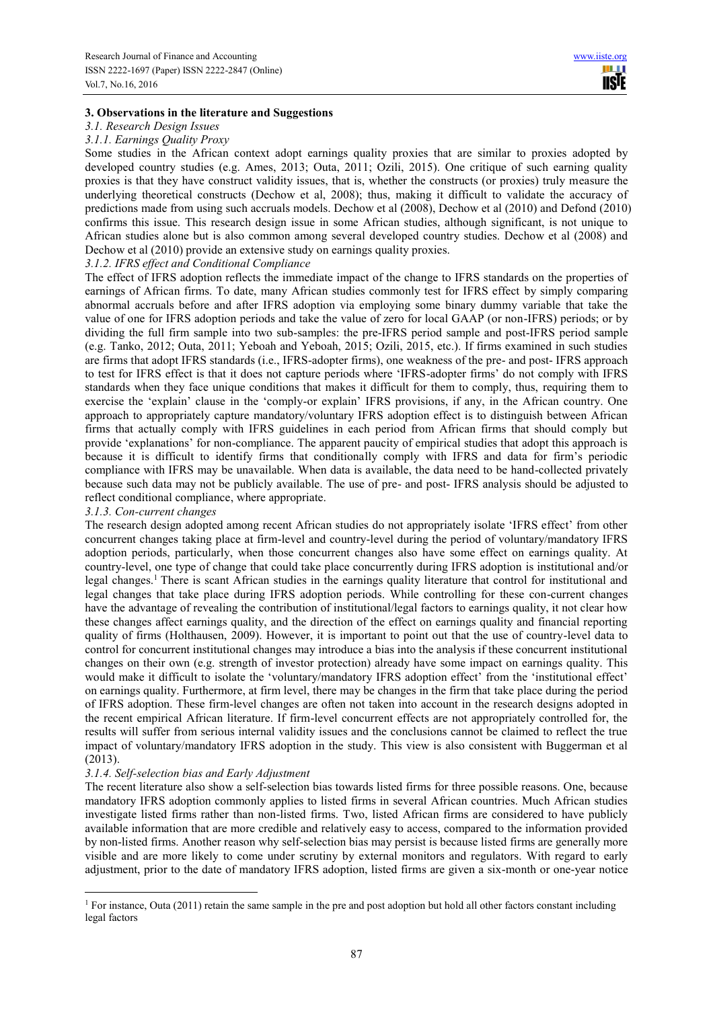### **3. Observations in the literature and Suggestions**

# *3.1. Research Design Issues*

*3.1.1. Earnings Quality Proxy* 

Some studies in the African context adopt earnings quality proxies that are similar to proxies adopted by developed country studies (e.g. Ames, 2013; Outa, 2011; Ozili, 2015). One critique of such earning quality proxies is that they have construct validity issues, that is, whether the constructs (or proxies) truly measure the underlying theoretical constructs (Dechow et al, 2008); thus, making it difficult to validate the accuracy of predictions made from using such accruals models. Dechow et al (2008), Dechow et al (2010) and Defond (2010) confirms this issue. This research design issue in some African studies, although significant, is not unique to African studies alone but is also common among several developed country studies. Dechow et al (2008) and Dechow et al (2010) provide an extensive study on earnings quality proxies.

#### *3.1.2. IFRS effect and Conditional Compliance*

The effect of IFRS adoption reflects the immediate impact of the change to IFRS standards on the properties of earnings of African firms. To date, many African studies commonly test for IFRS effect by simply comparing abnormal accruals before and after IFRS adoption via employing some binary dummy variable that take the value of one for IFRS adoption periods and take the value of zero for local GAAP (or non-IFRS) periods; or by dividing the full firm sample into two sub-samples: the pre-IFRS period sample and post-IFRS period sample (e.g. Tanko, 2012; Outa, 2011; Yeboah and Yeboah, 2015; Ozili, 2015, etc.). If firms examined in such studies are firms that adopt IFRS standards (i.e., IFRS-adopter firms), one weakness of the pre- and post- IFRS approach to test for IFRS effect is that it does not capture periods where 'IFRS-adopter firms' do not comply with IFRS standards when they face unique conditions that makes it difficult for them to comply, thus, requiring them to exercise the 'explain' clause in the 'comply-or explain' IFRS provisions, if any, in the African country. One approach to appropriately capture mandatory/voluntary IFRS adoption effect is to distinguish between African firms that actually comply with IFRS guidelines in each period from African firms that should comply but provide 'explanations' for non-compliance. The apparent paucity of empirical studies that adopt this approach is because it is difficult to identify firms that conditionally comply with IFRS and data for firm's periodic compliance with IFRS may be unavailable. When data is available, the data need to be hand-collected privately because such data may not be publicly available. The use of pre- and post- IFRS analysis should be adjusted to reflect conditional compliance, where appropriate.

# *3.1.3. Con-current changes*

The research design adopted among recent African studies do not appropriately isolate 'IFRS effect' from other concurrent changes taking place at firm-level and country-level during the period of voluntary/mandatory IFRS adoption periods, particularly, when those concurrent changes also have some effect on earnings quality. At country-level, one type of change that could take place concurrently during IFRS adoption is institutional and/or legal changes.<sup>1</sup> There is scant African studies in the earnings quality literature that control for institutional and legal changes that take place during IFRS adoption periods. While controlling for these con-current changes have the advantage of revealing the contribution of institutional/legal factors to earnings quality, it not clear how these changes affect earnings quality, and the direction of the effect on earnings quality and financial reporting quality of firms (Holthausen, 2009). However, it is important to point out that the use of country-level data to control for concurrent institutional changes may introduce a bias into the analysis if these concurrent institutional changes on their own (e.g. strength of investor protection) already have some impact on earnings quality. This would make it difficult to isolate the 'voluntary/mandatory IFRS adoption effect' from the 'institutional effect' on earnings quality. Furthermore, at firm level, there may be changes in the firm that take place during the period of IFRS adoption. These firm-level changes are often not taken into account in the research designs adopted in the recent empirical African literature. If firm-level concurrent effects are not appropriately controlled for, the results will suffer from serious internal validity issues and the conclusions cannot be claimed to reflect the true impact of voluntary/mandatory IFRS adoption in the study. This view is also consistent with Buggerman et al (2013).

# *3.1.4. Self-selection bias and Early Adjustment*

 $\overline{a}$ 

The recent literature also show a self-selection bias towards listed firms for three possible reasons. One, because mandatory IFRS adoption commonly applies to listed firms in several African countries. Much African studies investigate listed firms rather than non-listed firms. Two, listed African firms are considered to have publicly available information that are more credible and relatively easy to access, compared to the information provided by non-listed firms. Another reason why self-selection bias may persist is because listed firms are generally more visible and are more likely to come under scrutiny by external monitors and regulators. With regard to early adjustment, prior to the date of mandatory IFRS adoption, listed firms are given a six-month or one-year notice

<sup>&</sup>lt;sup>1</sup> For instance, Outa (2011) retain the same sample in the pre and post adoption but hold all other factors constant including legal factors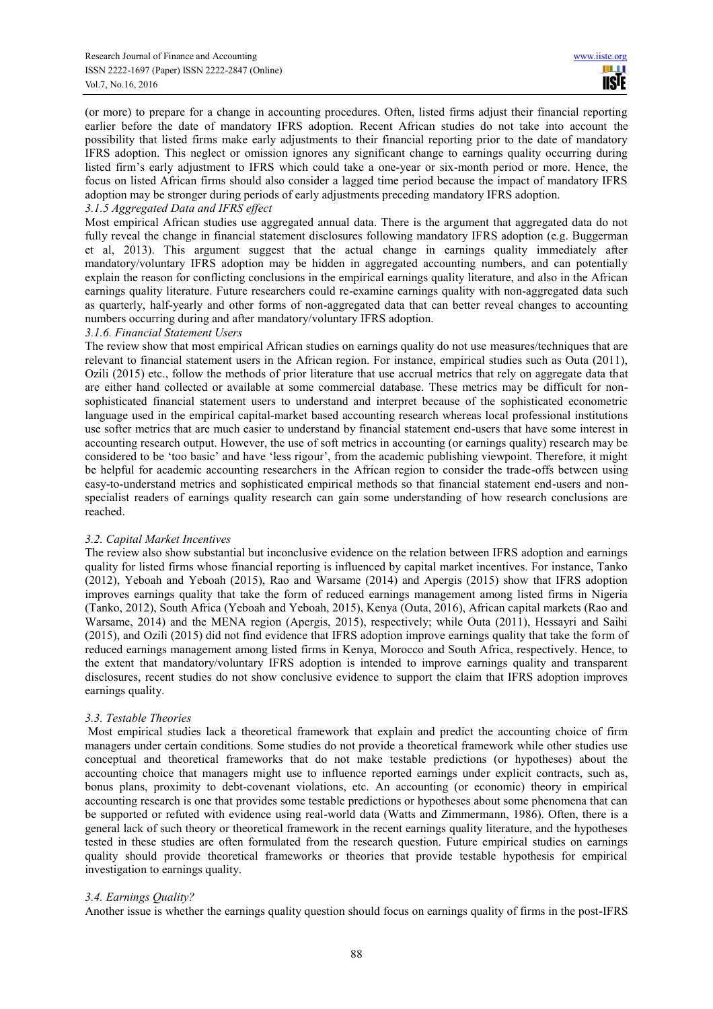(or more) to prepare for a change in accounting procedures. Often, listed firms adjust their financial reporting earlier before the date of mandatory IFRS adoption. Recent African studies do not take into account the possibility that listed firms make early adjustments to their financial reporting prior to the date of mandatory IFRS adoption. This neglect or omission ignores any significant change to earnings quality occurring during listed firm's early adjustment to IFRS which could take a one-year or six-month period or more. Hence, the focus on listed African firms should also consider a lagged time period because the impact of mandatory IFRS adoption may be stronger during periods of early adjustments preceding mandatory IFRS adoption.

#### *3.1.5 Aggregated Data and IFRS effect*

Most empirical African studies use aggregated annual data. There is the argument that aggregated data do not fully reveal the change in financial statement disclosures following mandatory IFRS adoption (e.g. Buggerman et al, 2013). This argument suggest that the actual change in earnings quality immediately after mandatory/voluntary IFRS adoption may be hidden in aggregated accounting numbers, and can potentially explain the reason for conflicting conclusions in the empirical earnings quality literature, and also in the African earnings quality literature. Future researchers could re-examine earnings quality with non-aggregated data such as quarterly, half-yearly and other forms of non-aggregated data that can better reveal changes to accounting numbers occurring during and after mandatory/voluntary IFRS adoption.

#### *3.1.6. Financial Statement Users*

The review show that most empirical African studies on earnings quality do not use measures/techniques that are relevant to financial statement users in the African region. For instance, empirical studies such as Outa (2011), Ozili (2015) etc., follow the methods of prior literature that use accrual metrics that rely on aggregate data that are either hand collected or available at some commercial database. These metrics may be difficult for nonsophisticated financial statement users to understand and interpret because of the sophisticated econometric language used in the empirical capital-market based accounting research whereas local professional institutions use softer metrics that are much easier to understand by financial statement end-users that have some interest in accounting research output. However, the use of soft metrics in accounting (or earnings quality) research may be considered to be 'too basic' and have 'less rigour', from the academic publishing viewpoint. Therefore, it might be helpful for academic accounting researchers in the African region to consider the trade-offs between using easy-to-understand metrics and sophisticated empirical methods so that financial statement end-users and nonspecialist readers of earnings quality research can gain some understanding of how research conclusions are reached.

#### *3.2. Capital Market Incentives*

The review also show substantial but inconclusive evidence on the relation between IFRS adoption and earnings quality for listed firms whose financial reporting is influenced by capital market incentives. For instance, Tanko (2012), Yeboah and Yeboah (2015), Rao and Warsame (2014) and Apergis (2015) show that IFRS adoption improves earnings quality that take the form of reduced earnings management among listed firms in Nigeria (Tanko, 2012), South Africa (Yeboah and Yeboah, 2015), Kenya (Outa, 2016), African capital markets (Rao and Warsame, 2014) and the MENA region (Apergis, 2015), respectively; while Outa (2011), Hessayri and Saihi (2015), and Ozili (2015) did not find evidence that IFRS adoption improve earnings quality that take the form of reduced earnings management among listed firms in Kenya, Morocco and South Africa, respectively. Hence, to the extent that mandatory/voluntary IFRS adoption is intended to improve earnings quality and transparent disclosures, recent studies do not show conclusive evidence to support the claim that IFRS adoption improves earnings quality.

# *3.3. Testable Theories*

 Most empirical studies lack a theoretical framework that explain and predict the accounting choice of firm managers under certain conditions. Some studies do not provide a theoretical framework while other studies use conceptual and theoretical frameworks that do not make testable predictions (or hypotheses) about the accounting choice that managers might use to influence reported earnings under explicit contracts, such as, bonus plans, proximity to debt-covenant violations, etc. An accounting (or economic) theory in empirical accounting research is one that provides some testable predictions or hypotheses about some phenomena that can be supported or refuted with evidence using real-world data (Watts and Zimmermann, 1986). Often, there is a general lack of such theory or theoretical framework in the recent earnings quality literature, and the hypotheses tested in these studies are often formulated from the research question. Future empirical studies on earnings quality should provide theoretical frameworks or theories that provide testable hypothesis for empirical investigation to earnings quality.

#### *3.4. Earnings Quality?*

Another issue is whether the earnings quality question should focus on earnings quality of firms in the post-IFRS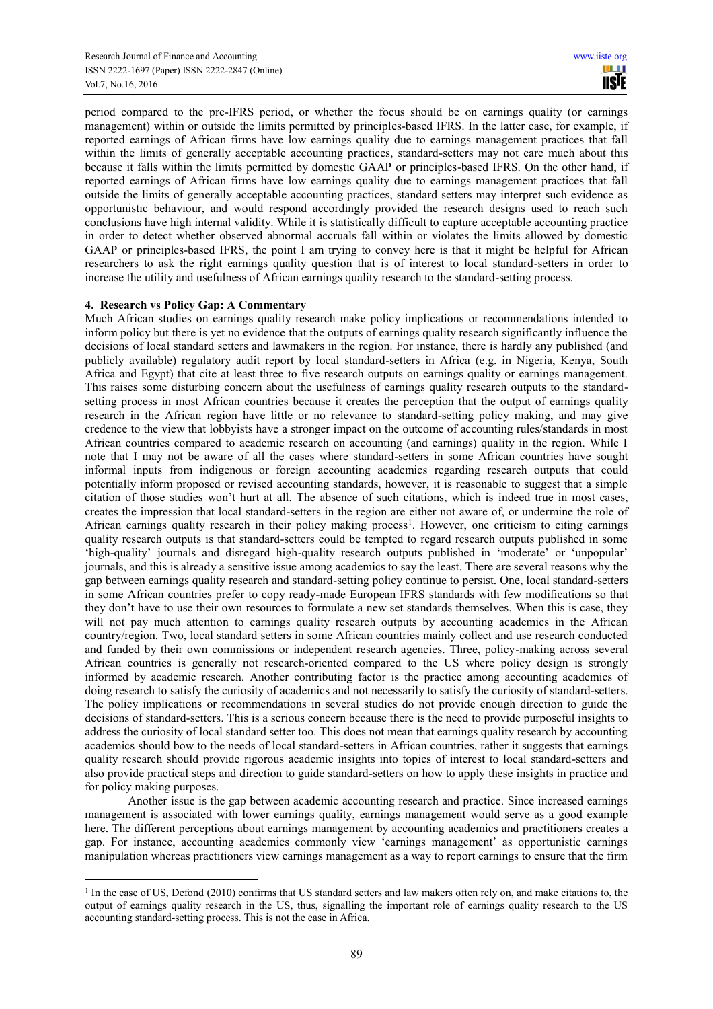period compared to the pre-IFRS period, or whether the focus should be on earnings quality (or earnings management) within or outside the limits permitted by principles-based IFRS. In the latter case, for example, if reported earnings of African firms have low earnings quality due to earnings management practices that fall within the limits of generally acceptable accounting practices, standard-setters may not care much about this because it falls within the limits permitted by domestic GAAP or principles-based IFRS. On the other hand, if reported earnings of African firms have low earnings quality due to earnings management practices that fall outside the limits of generally acceptable accounting practices, standard setters may interpret such evidence as opportunistic behaviour, and would respond accordingly provided the research designs used to reach such conclusions have high internal validity. While it is statistically difficult to capture acceptable accounting practice in order to detect whether observed abnormal accruals fall within or violates the limits allowed by domestic GAAP or principles-based IFRS, the point I am trying to convey here is that it might be helpful for African researchers to ask the right earnings quality question that is of interest to local standard-setters in order to increase the utility and usefulness of African earnings quality research to the standard-setting process.

# **4. Research vs Policy Gap: A Commentary**

 $\overline{a}$ 

Much African studies on earnings quality research make policy implications or recommendations intended to inform policy but there is yet no evidence that the outputs of earnings quality research significantly influence the decisions of local standard setters and lawmakers in the region. For instance, there is hardly any published (and publicly available) regulatory audit report by local standard-setters in Africa (e.g. in Nigeria, Kenya, South Africa and Egypt) that cite at least three to five research outputs on earnings quality or earnings management. This raises some disturbing concern about the usefulness of earnings quality research outputs to the standardsetting process in most African countries because it creates the perception that the output of earnings quality research in the African region have little or no relevance to standard-setting policy making, and may give credence to the view that lobbyists have a stronger impact on the outcome of accounting rules/standards in most African countries compared to academic research on accounting (and earnings) quality in the region. While I note that I may not be aware of all the cases where standard-setters in some African countries have sought informal inputs from indigenous or foreign accounting academics regarding research outputs that could potentially inform proposed or revised accounting standards, however, it is reasonable to suggest that a simple citation of those studies won't hurt at all. The absence of such citations, which is indeed true in most cases, creates the impression that local standard-setters in the region are either not aware of, or undermine the role of African earnings quality research in their policy making process<sup>1</sup>. However, one criticism to citing earnings quality research outputs is that standard-setters could be tempted to regard research outputs published in some 'high-quality' journals and disregard high-quality research outputs published in 'moderate' or 'unpopular' journals, and this is already a sensitive issue among academics to say the least. There are several reasons why the gap between earnings quality research and standard-setting policy continue to persist. One, local standard-setters in some African countries prefer to copy ready-made European IFRS standards with few modifications so that they don't have to use their own resources to formulate a new set standards themselves. When this is case, they will not pay much attention to earnings quality research outputs by accounting academics in the African country/region. Two, local standard setters in some African countries mainly collect and use research conducted and funded by their own commissions or independent research agencies. Three, policy-making across several African countries is generally not research-oriented compared to the US where policy design is strongly informed by academic research. Another contributing factor is the practice among accounting academics of doing research to satisfy the curiosity of academics and not necessarily to satisfy the curiosity of standard-setters. The policy implications or recommendations in several studies do not provide enough direction to guide the decisions of standard-setters. This is a serious concern because there is the need to provide purposeful insights to address the curiosity of local standard setter too. This does not mean that earnings quality research by accounting academics should bow to the needs of local standard-setters in African countries, rather it suggests that earnings quality research should provide rigorous academic insights into topics of interest to local standard-setters and also provide practical steps and direction to guide standard-setters on how to apply these insights in practice and for policy making purposes.

Another issue is the gap between academic accounting research and practice. Since increased earnings management is associated with lower earnings quality, earnings management would serve as a good example here. The different perceptions about earnings management by accounting academics and practitioners creates a gap. For instance, accounting academics commonly view 'earnings management' as opportunistic earnings manipulation whereas practitioners view earnings management as a way to report earnings to ensure that the firm

<sup>&</sup>lt;sup>1</sup> In the case of US, Defond (2010) confirms that US standard setters and law makers often rely on, and make citations to, the output of earnings quality research in the US, thus, signalling the important role of earnings quality research to the US accounting standard-setting process. This is not the case in Africa.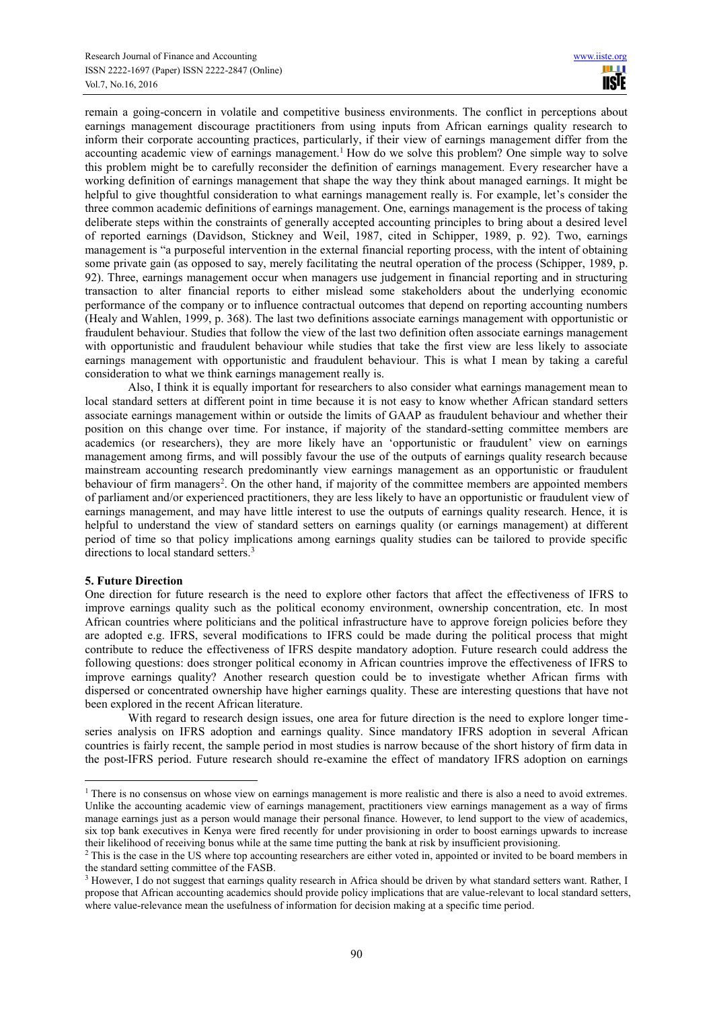remain a going-concern in volatile and competitive business environments. The conflict in perceptions about earnings management discourage practitioners from using inputs from African earnings quality research to inform their corporate accounting practices, particularly, if their view of earnings management differ from the accounting academic view of earnings management.<sup>1</sup> How do we solve this problem? One simple way to solve this problem might be to carefully reconsider the definition of earnings management. Every researcher have a working definition of earnings management that shape the way they think about managed earnings. It might be helpful to give thoughtful consideration to what earnings management really is. For example, let's consider the three common academic definitions of earnings management. One, earnings management is the process of taking deliberate steps within the constraints of generally accepted accounting principles to bring about a desired level of reported earnings (Davidson, Stickney and Weil, 1987, cited in Schipper, 1989, p. 92). Two, earnings management is "a purposeful intervention in the external financial reporting process, with the intent of obtaining some private gain (as opposed to say, merely facilitating the neutral operation of the process (Schipper, 1989, p. 92). Three, earnings management occur when managers use judgement in financial reporting and in structuring transaction to alter financial reports to either mislead some stakeholders about the underlying economic performance of the company or to influence contractual outcomes that depend on reporting accounting numbers (Healy and Wahlen, 1999, p. 368). The last two definitions associate earnings management with opportunistic or fraudulent behaviour. Studies that follow the view of the last two definition often associate earnings management with opportunistic and fraudulent behaviour while studies that take the first view are less likely to associate earnings management with opportunistic and fraudulent behaviour. This is what I mean by taking a careful consideration to what we think earnings management really is.

Also, I think it is equally important for researchers to also consider what earnings management mean to local standard setters at different point in time because it is not easy to know whether African standard setters associate earnings management within or outside the limits of GAAP as fraudulent behaviour and whether their position on this change over time. For instance, if majority of the standard-setting committee members are academics (or researchers), they are more likely have an 'opportunistic or fraudulent' view on earnings management among firms, and will possibly favour the use of the outputs of earnings quality research because mainstream accounting research predominantly view earnings management as an opportunistic or fraudulent behaviour of firm managers<sup>2</sup>. On the other hand, if majority of the committee members are appointed members of parliament and/or experienced practitioners, they are less likely to have an opportunistic or fraudulent view of earnings management, and may have little interest to use the outputs of earnings quality research. Hence, it is helpful to understand the view of standard setters on earnings quality (or earnings management) at different period of time so that policy implications among earnings quality studies can be tailored to provide specific directions to local standard setters.<sup>3</sup>

#### **5. Future Direction**

 $\overline{a}$ 

One direction for future research is the need to explore other factors that affect the effectiveness of IFRS to improve earnings quality such as the political economy environment, ownership concentration, etc. In most African countries where politicians and the political infrastructure have to approve foreign policies before they are adopted e.g. IFRS, several modifications to IFRS could be made during the political process that might contribute to reduce the effectiveness of IFRS despite mandatory adoption. Future research could address the following questions: does stronger political economy in African countries improve the effectiveness of IFRS to improve earnings quality? Another research question could be to investigate whether African firms with dispersed or concentrated ownership have higher earnings quality. These are interesting questions that have not been explored in the recent African literature.

With regard to research design issues, one area for future direction is the need to explore longer timeseries analysis on IFRS adoption and earnings quality. Since mandatory IFRS adoption in several African countries is fairly recent, the sample period in most studies is narrow because of the short history of firm data in the post-IFRS period. Future research should re-examine the effect of mandatory IFRS adoption on earnings

<sup>&</sup>lt;sup>1</sup> There is no consensus on whose view on earnings management is more realistic and there is also a need to avoid extremes. Unlike the accounting academic view of earnings management, practitioners view earnings management as a way of firms manage earnings just as a person would manage their personal finance. However, to lend support to the view of academics, six top bank executives in Kenya were fired recently for under provisioning in order to boost earnings upwards to increase their likelihood of receiving bonus while at the same time putting the bank at risk by insufficient provisioning.

<sup>&</sup>lt;sup>2</sup> This is the case in the US where top accounting researchers are either voted in, appointed or invited to be board members in the standard setting committee of the FASB.

<sup>&</sup>lt;sup>3</sup> However, I do not suggest that earnings quality research in Africa should be driven by what standard setters want. Rather, I propose that African accounting academics should provide policy implications that are value-relevant to local standard setters, where value-relevance mean the usefulness of information for decision making at a specific time period.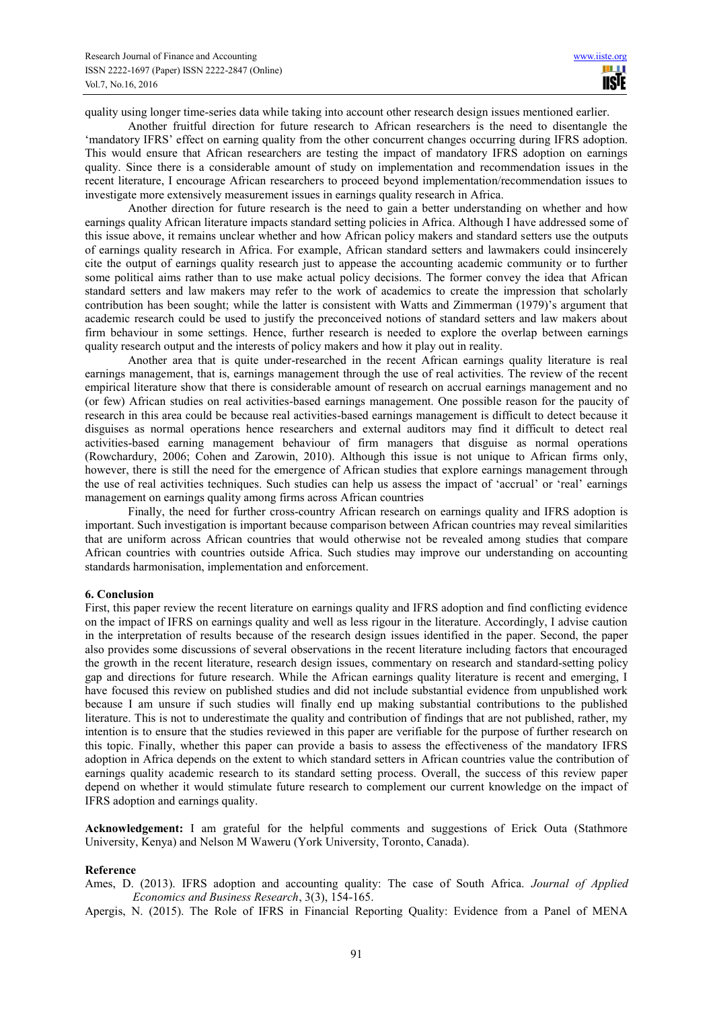quality using longer time-series data while taking into account other research design issues mentioned earlier.

Another fruitful direction for future research to African researchers is the need to disentangle the 'mandatory IFRS' effect on earning quality from the other concurrent changes occurring during IFRS adoption. This would ensure that African researchers are testing the impact of mandatory IFRS adoption on earnings quality. Since there is a considerable amount of study on implementation and recommendation issues in the recent literature, I encourage African researchers to proceed beyond implementation/recommendation issues to investigate more extensively measurement issues in earnings quality research in Africa.

Another direction for future research is the need to gain a better understanding on whether and how earnings quality African literature impacts standard setting policies in Africa. Although I have addressed some of this issue above, it remains unclear whether and how African policy makers and standard setters use the outputs of earnings quality research in Africa. For example, African standard setters and lawmakers could insincerely cite the output of earnings quality research just to appease the accounting academic community or to further some political aims rather than to use make actual policy decisions. The former convey the idea that African standard setters and law makers may refer to the work of academics to create the impression that scholarly contribution has been sought; while the latter is consistent with Watts and Zimmerman (1979)'s argument that academic research could be used to justify the preconceived notions of standard setters and law makers about firm behaviour in some settings. Hence, further research is needed to explore the overlap between earnings quality research output and the interests of policy makers and how it play out in reality.

Another area that is quite under-researched in the recent African earnings quality literature is real earnings management, that is, earnings management through the use of real activities. The review of the recent empirical literature show that there is considerable amount of research on accrual earnings management and no (or few) African studies on real activities-based earnings management. One possible reason for the paucity of research in this area could be because real activities-based earnings management is difficult to detect because it disguises as normal operations hence researchers and external auditors may find it difficult to detect real activities-based earning management behaviour of firm managers that disguise as normal operations (Rowchardury, 2006; Cohen and Zarowin, 2010). Although this issue is not unique to African firms only, however, there is still the need for the emergence of African studies that explore earnings management through the use of real activities techniques. Such studies can help us assess the impact of 'accrual' or 'real' earnings management on earnings quality among firms across African countries

Finally, the need for further cross-country African research on earnings quality and IFRS adoption is important. Such investigation is important because comparison between African countries may reveal similarities that are uniform across African countries that would otherwise not be revealed among studies that compare African countries with countries outside Africa. Such studies may improve our understanding on accounting standards harmonisation, implementation and enforcement.

#### **6. Conclusion**

First, this paper review the recent literature on earnings quality and IFRS adoption and find conflicting evidence on the impact of IFRS on earnings quality and well as less rigour in the literature. Accordingly, I advise caution in the interpretation of results because of the research design issues identified in the paper. Second, the paper also provides some discussions of several observations in the recent literature including factors that encouraged the growth in the recent literature, research design issues, commentary on research and standard-setting policy gap and directions for future research. While the African earnings quality literature is recent and emerging, I have focused this review on published studies and did not include substantial evidence from unpublished work because I am unsure if such studies will finally end up making substantial contributions to the published literature. This is not to underestimate the quality and contribution of findings that are not published, rather, my intention is to ensure that the studies reviewed in this paper are verifiable for the purpose of further research on this topic. Finally, whether this paper can provide a basis to assess the effectiveness of the mandatory IFRS adoption in Africa depends on the extent to which standard setters in African countries value the contribution of earnings quality academic research to its standard setting process. Overall, the success of this review paper depend on whether it would stimulate future research to complement our current knowledge on the impact of IFRS adoption and earnings quality.

**Acknowledgement:** I am grateful for the helpful comments and suggestions of Erick Outa (Stathmore University, Kenya) and Nelson M Waweru (York University, Toronto, Canada).

#### **Reference**

Ames, D. (2013). IFRS adoption and accounting quality: The case of South Africa. *Journal of Applied Economics and Business Research*, 3(3), 154-165.

Apergis, N. (2015). The Role of IFRS in Financial Reporting Quality: Evidence from a Panel of MENA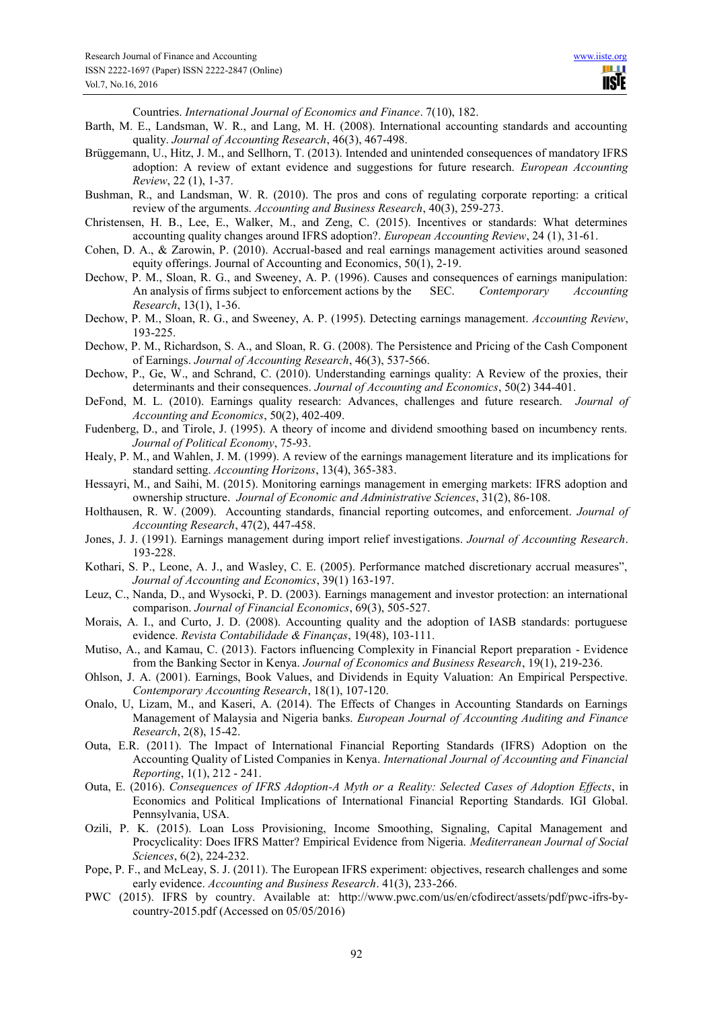Countries. *International Journal of Economics and Finance*. 7(10), 182.

- Barth, M. E., Landsman, W. R., and Lang, M. H. (2008). International accounting standards and accounting quality. *Journal of Accounting Research*, 46(3), 467-498.
- Brüggemann, U., Hitz, J. M., and Sellhorn, T. (2013). Intended and unintended consequences of mandatory IFRS adoption: A review of extant evidence and suggestions for future research. *European Accounting Review*, 22 (1), 1-37.
- Bushman, R., and Landsman, W. R. (2010). The pros and cons of regulating corporate reporting: a critical review of the arguments. *Accounting and Business Research*, 40(3), 259-273.
- Christensen, H. B., Lee, E., Walker, M., and Zeng, C. (2015). Incentives or standards: What determines accounting quality changes around IFRS adoption?. *European Accounting Review*, 24 (1), 31-61.
- Cohen, D. A., & Zarowin, P. (2010). Accrual-based and real earnings management activities around seasoned equity offerings. Journal of Accounting and Economics, 50(1), 2-19.
- Dechow, P. M., Sloan, R. G., and Sweeney, A. P. (1996). Causes and consequences of earnings manipulation: An analysis of firms subject to enforcement actions by the SEC. *Contemporary Accounting Research*, 13(1), 1-36.
- Dechow, P. M., Sloan, R. G., and Sweeney, A. P. (1995). Detecting earnings management. *Accounting Review*, 193-225.
- Dechow, P. M., Richardson, S. A., and Sloan, R. G. (2008). The Persistence and Pricing of the Cash Component of Earnings. *Journal of Accounting Research*, 46(3), 537-566.
- Dechow, P., Ge, W., and Schrand, C. (2010). Understanding earnings quality: A Review of the proxies, their determinants and their consequences. *Journal of Accounting and Economics*, 50(2) 344-401.
- DeFond, M. L. (2010). Earnings quality research: Advances, challenges and future research. *Journal of Accounting and Economics*, 50(2), 402-409.
- Fudenberg, D., and Tirole, J. (1995). A theory of income and dividend smoothing based on incumbency rents. *Journal of Political Economy*, 75-93.
- Healy, P. M., and Wahlen, J. M. (1999). A review of the earnings management literature and its implications for standard setting. *Accounting Horizons*, 13(4), 365-383.
- Hessayri, M., and Saihi, M. (2015). Monitoring earnings management in emerging markets: IFRS adoption and ownership structure. *Journal of Economic and Administrative Sciences*, 31(2), 86-108.
- Holthausen, R. W. (2009). Accounting standards, financial reporting outcomes, and enforcement. *Journal of Accounting Research*, 47(2), 447-458.
- Jones, J. J. (1991). Earnings management during import relief investigations. *Journal of Accounting Research*. 193-228.
- Kothari, S. P., Leone, A. J., and Wasley, C. E. (2005). Performance matched discretionary accrual measures", *Journal of Accounting and Economics*, 39(1) 163-197.
- Leuz, C., Nanda, D., and Wysocki, P. D. (2003). Earnings management and investor protection: an international comparison. *Journal of Financial Economics*, 69(3), 505-527.
- Morais, A. I., and Curto, J. D. (2008). Accounting quality and the adoption of IASB standards: portuguese evidence. *Revista Contabilidade & Finanças*, 19(48), 103-111.
- Mutiso, A., and Kamau, C. (2013). Factors influencing Complexity in Financial Report preparation Evidence from the Banking Sector in Kenya. *Journal of Economics and Business Research*, 19(1), 219-236.
- Ohlson, J. A. (2001). Earnings, Book Values, and Dividends in Equity Valuation: An Empirical Perspective. *Contemporary Accounting Research*, 18(1), 107-120.
- Onalo, U, Lizam, M., and Kaseri, A. (2014). The Effects of Changes in Accounting Standards on Earnings Management of Malaysia and Nigeria banks. *European Journal of Accounting Auditing and Finance Research*, 2(8), 15-42.
- Outa, E.R. (2011). The Impact of International Financial Reporting Standards (IFRS) Adoption on the Accounting Quality of Listed Companies in Kenya. *International Journal of Accounting and Financial Reporting*, 1(1), 212 - 241.
- Outa, E. (2016). *Consequences of IFRS Adoption-A Myth or a Reality: Selected Cases of Adoption Effects*, in Economics and Political Implications of International Financial Reporting Standards. IGI Global. Pennsylvania, USA.
- Ozili, P. K. (2015). Loan Loss Provisioning, Income Smoothing, Signaling, Capital Management and Procyclicality: Does IFRS Matter? Empirical Evidence from Nigeria. *Mediterranean Journal of Social Sciences*, 6(2), 224-232.
- Pope, P. F., and McLeay, S. J. (2011). The European IFRS experiment: objectives, research challenges and some early evidence. *Accounting and Business Research*. 41(3), 233-266.
- PWC (2015). IFRS by country. Available at: http://www.pwc.com/us/en/cfodirect/assets/pdf/pwc-ifrs-bycountry-2015.pdf (Accessed on 05/05/2016)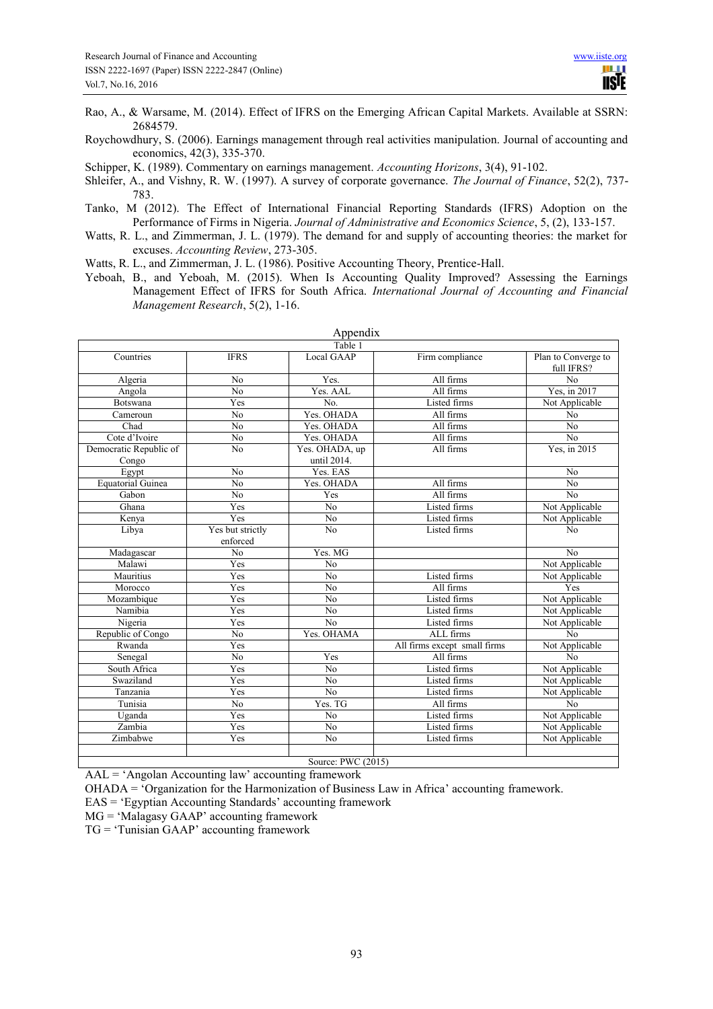- Rao, A., & Warsame, M. (2014). Effect of IFRS on the Emerging African Capital Markets. Available at SSRN: 2684579.
- Roychowdhury, S. (2006). Earnings management through real activities manipulation. Journal of accounting and economics, 42(3), 335-370.
- Schipper, K. (1989). Commentary on earnings management. *Accounting Horizons*, 3(4), 91-102.
- Shleifer, A., and Vishny, R. W. (1997). A survey of corporate governance. *The Journal of Finance*, 52(2), 737- 783.
- Tanko, M (2012). The Effect of International Financial Reporting Standards (IFRS) Adoption on the Performance of Firms in Nigeria. *Journal of Administrative and Economics Science*, 5, (2), 133-157.
- Watts, R. L., and Zimmerman, J. L. (1979). The demand for and supply of accounting theories: the market for excuses. *Accounting Review*, 273-305.
- Watts, R. L., and Zimmerman, J. L. (1986). Positive Accounting Theory, Prentice-Hall.
- Yeboah, B., and Yeboah, M. (2015). When Is Accounting Quality Improved? Assessing the Earnings Management Effect of IFRS for South Africa. *International Journal of Accounting and Financial Management Research*, 5(2), 1-16.

|                          |                  | $\Delta$ ppulula<br>Table 1 |                              |                                   |  |  |  |  |  |  |
|--------------------------|------------------|-----------------------------|------------------------------|-----------------------------------|--|--|--|--|--|--|
| Countries                |                  | Local GAAP                  |                              |                                   |  |  |  |  |  |  |
|                          | <b>IFRS</b>      |                             | Firm compliance              | Plan to Converge to<br>full IFRS? |  |  |  |  |  |  |
| Algeria                  | N <sub>o</sub>   | Yes.                        | All firms                    | No                                |  |  |  |  |  |  |
| Angola                   | N <sub>o</sub>   | Yes. AAL<br>All firms       |                              | Yes, in 2017                      |  |  |  |  |  |  |
| Botswana                 | Yes              | No.                         | Listed firms                 | Not Applicable                    |  |  |  |  |  |  |
| Cameroun                 | N <sub>o</sub>   | Yes. OHADA<br>All firms     |                              | N <sub>o</sub>                    |  |  |  |  |  |  |
| Chad                     | N <sub>o</sub>   | Yes. OHADA<br>All firms     |                              | N <sub>o</sub>                    |  |  |  |  |  |  |
| Cote d'Ivoire            | $\overline{No}$  | Yes. OHADA                  | All firms                    |                                   |  |  |  |  |  |  |
| Democratic Republic of   | $\overline{No}$  | Yes. OHADA, up              | All firms                    | Yes, in 2015                      |  |  |  |  |  |  |
| Congo                    |                  | until 2014.                 |                              |                                   |  |  |  |  |  |  |
| Egypt                    | N <sub>o</sub>   | Yes. EAS                    |                              | N <sub>o</sub>                    |  |  |  |  |  |  |
| <b>Equatorial Guinea</b> | N <sub>o</sub>   | Yes. OHADA                  | All firms                    | N <sub>o</sub>                    |  |  |  |  |  |  |
| Gabon                    | $\overline{No}$  | Yes                         | All firms                    | $\overline{No}$                   |  |  |  |  |  |  |
| Ghana                    | Yes              | $\overline{No}$             | Listed firms                 | Not Applicable                    |  |  |  |  |  |  |
| Kenya                    | Yes              | N <sub>o</sub>              | Listed firms                 | Not Applicable                    |  |  |  |  |  |  |
| Libya                    | Yes but strictly | N <sub>o</sub>              | Listed firms                 | N <sub>o</sub>                    |  |  |  |  |  |  |
|                          | enforced         |                             |                              |                                   |  |  |  |  |  |  |
| Madagascar               | $\overline{No}$  | Yes. MG                     |                              | $\overline{No}$                   |  |  |  |  |  |  |
| Malawi                   | Yes              | $\overline{No}$             |                              | Not Applicable                    |  |  |  |  |  |  |
| Mauritius                | Yes              | $\overline{No}$             | Listed firms                 | Not Applicable                    |  |  |  |  |  |  |
| Morocco                  | Yes              | N <sub>0</sub>              | All firms                    | Yes                               |  |  |  |  |  |  |
| Mozambique               | Yes              | N <sub>o</sub>              | Listed firms                 | Not Applicable                    |  |  |  |  |  |  |
| Namibia                  | Yes              | N <sub>o</sub>              | Listed firms                 | Not Applicable                    |  |  |  |  |  |  |
| Nigeria                  | Yes              | N <sub>o</sub>              | Listed firms                 | Not Applicable                    |  |  |  |  |  |  |
| Republic of Congo        | N <sub>o</sub>   | Yes. OHAMA                  | ALL firms                    | N <sub>o</sub>                    |  |  |  |  |  |  |
| Rwanda                   | Yes              |                             | All firms except small firms | Not Applicable                    |  |  |  |  |  |  |
| Senegal                  | No               | Yes                         | All firms                    | No                                |  |  |  |  |  |  |
| South Africa             | Yes              | N <sub>o</sub>              | Listed firms                 | Not Applicable                    |  |  |  |  |  |  |
| Swaziland                | Yes              | N <sub>0</sub>              | Listed firms                 | Not Applicable                    |  |  |  |  |  |  |
| Tanzania                 | Yes              | N <sub>0</sub>              | Listed firms                 | Not Applicable                    |  |  |  |  |  |  |
| Tunisia                  | $\overline{No}$  | Yes. TG                     | All firms                    | N <sub>o</sub>                    |  |  |  |  |  |  |
| Uganda                   | Yes              | N <sub>o</sub>              | Listed firms                 | Not Applicable                    |  |  |  |  |  |  |
| Zambia                   | Yes              | N <sub>o</sub>              | Listed firms                 | Not Applicable                    |  |  |  |  |  |  |
| Zimbabwe                 | Yes              | N <sub>o</sub>              | Listed firms                 | Not Applicable                    |  |  |  |  |  |  |
|                          |                  |                             |                              |                                   |  |  |  |  |  |  |
| Source: PWC (2015)       |                  |                             |                              |                                   |  |  |  |  |  |  |

Appendix

AAL = 'Angolan Accounting law' accounting framework

OHADA = 'Organization for the Harmonization of Business Law in Africa' accounting framework.

EAS = 'Egyptian Accounting Standards' accounting framework

MG = 'Malagasy GAAP' accounting framework

TG = 'Tunisian GAAP' accounting framework